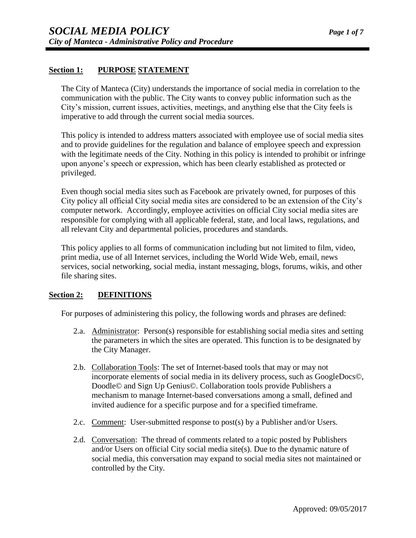## **Section 1: PURPOSE STATEMENT**

The City of Manteca (City) understands the importance of social media in correlation to the communication with the public. The City wants to convey public information such as the City's mission, current issues, activities, meetings, and anything else that the City feels is imperative to add through the current social media sources.

This policy is intended to address matters associated with employee use of social media sites and to provide guidelines for the regulation and balance of employee speech and expression with the legitimate needs of the City. Nothing in this policy is intended to prohibit or infringe upon anyone's speech or expression, which has been clearly established as protected or privileged.

Even though social media sites such as Facebook are privately owned, for purposes of this City policy all official City social media sites are considered to be an extension of the City's computer network. Accordingly, employee activities on official City social media sites are responsible for complying with all applicable federal, state, and local laws, regulations, and all relevant City and departmental policies, procedures and standards.

This policy applies to all forms of communication including but not limited to film, video, print media, use of all Internet services, including the World Wide Web, email, news services, social networking, social media, instant messaging, blogs, forums, wikis, and other file sharing sites.

## **Section 2: DEFINITIONS**

For purposes of administering this policy, the following words and phrases are defined:

- 2.a. Administrator: Person(s) responsible for establishing social media sites and setting the parameters in which the sites are operated. This function is to be designated by the City Manager.
- 2.b. Collaboration Tools: The set of Internet-based tools that may or may not incorporate elements of social media in its delivery process, such as GoogleDocs©, Doodle© and Sign Up Genius©. Collaboration tools provide Publishers a mechanism to manage Internet-based conversations among a small, defined and invited audience for a specific purpose and for a specified timeframe.
- 2.c. Comment: User-submitted response to post(s) by a Publisher and/or Users.
- 2.d. Conversation: The thread of comments related to a topic posted by Publishers and/or Users on official City social media site(s). Due to the dynamic nature of social media, this conversation may expand to social media sites not maintained or controlled by the City.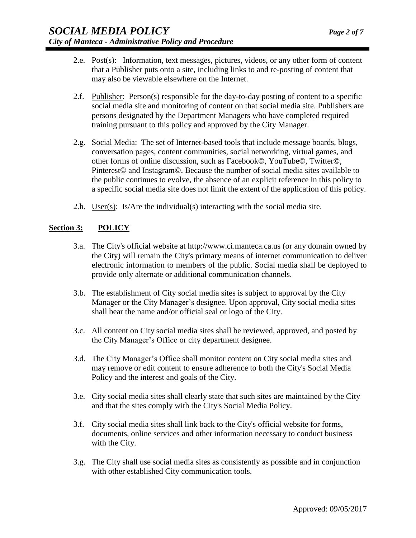- 2.e. Post(s): Information, text messages, pictures, videos, or any other form of content that a Publisher puts onto a site, including links to and re-posting of content that may also be viewable elsewhere on the Internet.
- 2.f. Publisher: Person(s) responsible for the day-to-day posting of content to a specific social media site and monitoring of content on that social media site. Publishers are persons designated by the Department Managers who have completed required training pursuant to this policy and approved by the City Manager.
- 2.g. Social Media: The set of Internet-based tools that include message boards, blogs, conversation pages, content communities, social networking, virtual games, and other forms of online discussion, such as Facebook©, YouTube©, Twitter©, Pinterest© and Instagram©. Because the number of social media sites available to the public continues to evolve, the absence of an explicit reference in this policy to a specific social media site does not limit the extent of the application of this policy.
- 2.h.  $User(s)$ : Is/Are the individual(s) interacting with the social media site.

# **Section 3: POLICY**

- 3.a. The City's official website at http://www.ci.manteca.ca.us (or any domain owned by the City) will remain the City's primary means of internet communication to deliver electronic information to members of the public. Social media shall be deployed to provide only alternate or additional communication channels.
- 3.b. The establishment of City social media sites is subject to approval by the City Manager or the City Manager's designee. Upon approval, City social media sites shall bear the name and/or official seal or logo of the City.
- 3.c. All content on City social media sites shall be reviewed, approved, and posted by the City Manager's Office or city department designee.
- 3.d. The City Manager's Office shall monitor content on City social media sites and may remove or edit content to ensure adherence to both the City's Social Media Policy and the interest and goals of the City.
- 3.e. City social media sites shall clearly state that such sites are maintained by the City and that the sites comply with the City's Social Media Policy.
- 3.f. City social media sites shall link back to the City's official website for forms, documents, online services and other information necessary to conduct business with the City.
- 3.g. The City shall use social media sites as consistently as possible and in conjunction with other established City communication tools.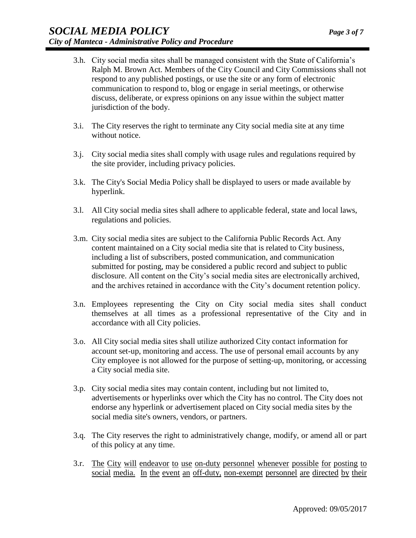- 3.h. City social media sites shall be managed consistent with the State of California's Ralph M. Brown Act. Members of the City Council and City Commissions shall not respond to any published postings, or use the site or any form of electronic communication to respond to, blog or engage in serial meetings, or otherwise discuss, deliberate, or express opinions on any issue within the subject matter jurisdiction of the body.
- 3.i. The City reserves the right to terminate any City social media site at any time without notice.
- 3.j. City social media sites shall comply with usage rules and regulations required by the site provider, including privacy policies.
- 3.k. The City's Social Media Policy shall be displayed to users or made available by hyperlink.
- 3.l. All City social media sites shall adhere to applicable federal, state and local laws, regulations and policies.
- 3.m. City social media sites are subject to the California Public Records Act. Any content maintained on a City social media site that is related to City business, including a list of subscribers, posted communication, and communication submitted for posting, may be considered a public record and subject to public disclosure. All content on the City's social media sites are electronically archived, and the archives retained in accordance with the City's document retention policy.
- 3.n. Employees representing the City on City social media sites shall conduct themselves at all times as a professional representative of the City and in accordance with all City policies.
- 3.o. All City social media sites shall utilize authorized City contact information for account set-up, monitoring and access. The use of personal email accounts by any City employee is not allowed for the purpose of setting-up, monitoring, or accessing a City social media site.
- 3.p. City social media sites may contain content, including but not limited to, advertisements or hyperlinks over which the City has no control. The City does not endorse any hyperlink or advertisement placed on City social media sites by the social media site's owners, vendors, or partners.
- 3.q. The City reserves the right to administratively change, modify, or amend all or part of this policy at any time.
- 3.r. The City will endeavor to use on-duty personnel whenever possible for posting to social media. In the event an off-duty, non-exempt personnel are directed by their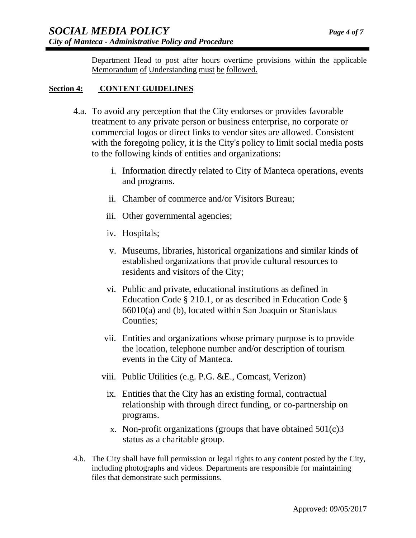Department Head to post after hours overtime provisions within the applicable Memorandum of Understanding must be followed.

### **Section 4: CONTENT GUIDELINES**

- 4.a. To avoid any perception that the City endorses or provides favorable treatment to any private person or business enterprise, no corporate or commercial logos or direct links to vendor sites are allowed. Consistent with the foregoing policy, it is the City's policy to limit social media posts to the following kinds of entities and organizations:
	- i. Information directly related to City of Manteca operations, events and programs.
	- ii. Chamber of commerce and/or Visitors Bureau;
	- iii. Other governmental agencies;
	- iv. Hospitals;
	- v. Museums, libraries, historical organizations and similar kinds of established organizations that provide cultural resources to residents and visitors of the City;
	- vi. Public and private, educational institutions as defined in Education Code § 210.1, or as described in Education Code § 66010(a) and (b), located within San Joaquin or Stanislaus Counties;
	- vii. Entities and organizations whose primary purpose is to provide the location, telephone number and/or description of tourism events in the City of Manteca.
	- viii. Public Utilities (e.g. P.G. &E., Comcast, Verizon)
		- ix. Entities that the City has an existing formal, contractual relationship with through direct funding, or co-partnership on programs.
		- x. Non-profit organizations (groups that have obtained  $501(c)3$ ) status as a charitable group.
- 4.b. The City shall have full permission or legal rights to any content posted by the City, including photographs and videos. Departments are responsible for maintaining files that demonstrate such permissions.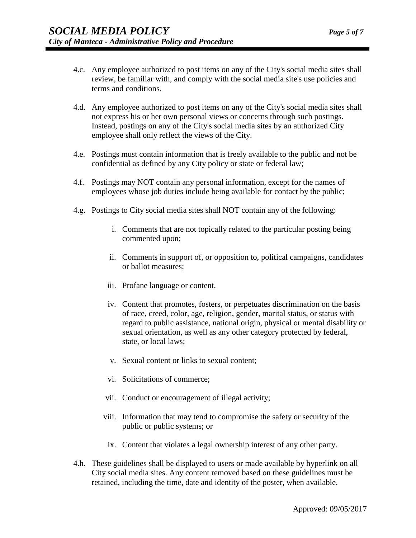- 4.c. Any employee authorized to post items on any of the City's social media sites shall review, be familiar with, and comply with the social media site's use policies and terms and conditions.
- 4.d. Any employee authorized to post items on any of the City's social media sites shall not express his or her own personal views or concerns through such postings. Instead, postings on any of the City's social media sites by an authorized City employee shall only reflect the views of the City.
- 4.e. Postings must contain information that is freely available to the public and not be confidential as defined by any City policy or state or federal law;
- 4.f. Postings may NOT contain any personal information, except for the names of employees whose job duties include being available for contact by the public;
- 4.g. Postings to City social media sites shall NOT contain any of the following:
	- i. Comments that are not topically related to the particular posting being commented upon;
	- ii. Comments in support of, or opposition to, political campaigns, candidates or ballot measures;
	- iii. Profane language or content.
	- iv. Content that promotes, fosters, or perpetuates discrimination on the basis of race, creed, color, age, religion, gender, marital status, or status with regard to public assistance, national origin, physical or mental disability or sexual orientation, as well as any other category protected by federal, state, or local laws;
	- v. Sexual content or links to sexual content;
	- vi. Solicitations of commerce;
	- vii. Conduct or encouragement of illegal activity;
	- viii. Information that may tend to compromise the safety or security of the public or public systems; or
		- ix. Content that violates a legal ownership interest of any other party.
- 4.h. These guidelines shall be displayed to users or made available by hyperlink on all City social media sites. Any content removed based on these guidelines must be retained, including the time, date and identity of the poster, when available.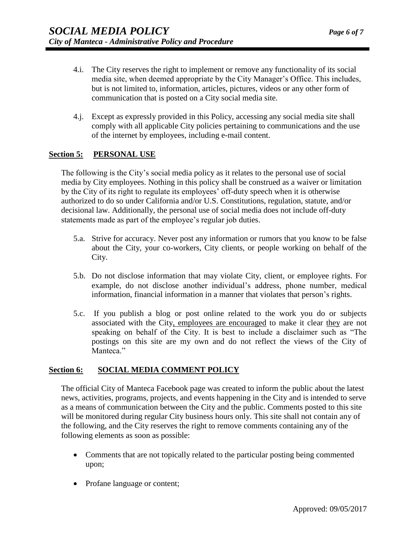- 4.i. The City reserves the right to implement or remove any functionality of its social media site, when deemed appropriate by the City Manager's Office. This includes, but is not limited to, information, articles, pictures, videos or any other form of communication that is posted on a City social media site.
- 4.j. Except as expressly provided in this Policy, accessing any social media site shall comply with all applicable City policies pertaining to communications and the use of the internet by employees, including e-mail content.

#### **Section 5: PERSONAL USE**

The following is the City's social media policy as it relates to the personal use of social media by City employees. Nothing in this policy shall be construed as a waiver or limitation by the City of its right to regulate its employees' off-duty speech when it is otherwise authorized to do so under California and/or U.S. Constitutions, regulation, statute, and/or decisional law. Additionally, the personal use of social media does not include off-duty statements made as part of the employee's regular job duties.

- 5.a. Strive for accuracy. Never post any information or rumors that you know to be false about the City, your co-workers, City clients, or people working on behalf of the City.
- 5.b. Do not disclose information that may violate City, client, or employee rights. For example, do not disclose another individual's address, phone number, medical information, financial information in a manner that violates that person's rights.
- 5.c. If you publish a blog or post online related to the work you do or subjects associated with the City, employees are encouraged to make it clear they are not speaking on behalf of the City. It is best to include a disclaimer such as "The postings on this site are my own and do not reflect the views of the City of Manteca."

## **Section 6: SOCIAL MEDIA COMMENT POLICY**

The official City of Manteca Facebook page was created to inform the public about the latest news, activities, programs, projects, and events happening in the City and is intended to serve as a means of communication between the City and the public. Comments posted to this site will be monitored during regular City business hours only. This site shall not contain any of the following, and the City reserves the right to remove comments containing any of the following elements as soon as possible:

- Comments that are not topically related to the particular posting being commented upon;
- Profane language or content;